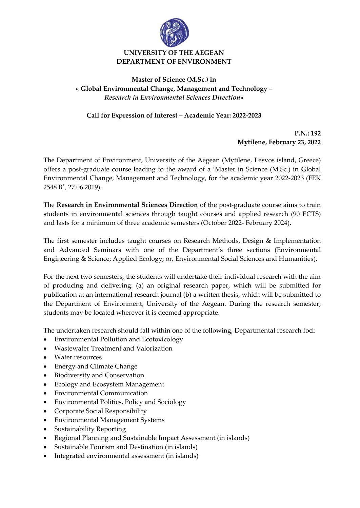

## **UNIVERSITY OF THE AEGEAN DEPARTMENT OF ENVIRONMENT**

## **Master of Science (M.Sc.) in « Global Environmental Change, Management and Technology –** *Research in Environmental Sciences Direction***»**

## **Call for Expression of Interest – Academic Year: 2022-2023**

**P.N.: 192 Mytilene, February 23, 2022**

The Department of Environment, University of the Aegean (Mytilene, Lesvos island, Greece) offers a post-graduate course leading to the award of a 'Master in Science (M.Sc.) in Global Environmental Change, Management and Technology, for the academic year 2022-2023 (FEK 2548 Β΄, 27.06.2019).

The **Research in Environmental Sciences Direction** of the post-graduate course aims to train students in environmental sciences through taught courses and applied research (90 ECTS) and lasts for a minimum of three academic semesters (October 2022- February 2024).

The first semester includes taught courses on Research Methods, Design & Implementation and Advanced Seminars with one of the Department's three sections (Environmental Engineering & Science; Applied Ecology; or, Environmental Social Sciences and Humanities).

For the next two semesters, the students will undertake their individual research with the aim of producing and delivering: (a) an original research paper, which will be submitted for publication at an international research journal (b) a written thesis, which will be submitted to the Department of Environment, University of the Aegean. During the research semester, students may be located wherever it is deemed appropriate.

The undertaken research should fall within one of the following, Departmental research foci:

- Environmental Pollution and Ecotoxicology
- Wastewater Treatment and Valorization
- Water resources
- Energy and Climate Change
- Biodiversity and Conservation
- Ecology and Ecosystem Management
- Environmental Communication
- Environmental Politics, Policy and Sociology
- Corporate Social Responsibility
- Environmental Management Systems
- Sustainability Reporting
- Regional Planning and Sustainable Impact Assessment (in islands)
- Sustainable Tourism and Destination (in islands)
- Integrated environmental assessment (in islands)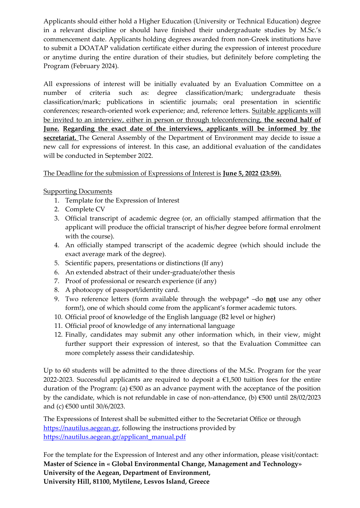Applicants should either hold a Higher Education (University or Technical Education) degree in a relevant discipline or should have finished their undergraduate studies by M.Sc.'s commencement date. Applicants holding degrees awarded from non-Greek institutions have to submit a DOATAP validation certificate either during the expression of interest procedure or anytime during the entire duration of their studies, but definitely before completing the Program (February 2024).

All expressions of interest will be initially evaluated by an Evaluation Committee on a number of criteria such as: degree classification/mark; undergraduate thesis classification/mark; publications in scientific journals; oral presentation in scientific conferences; research-oriented work experience; and, reference letters. Suitable applicants will be invited to an interview, either in person or through teleconferencing, **the second half of June. Regarding the exact date of the interviews, applicants will be informed by the secretariat.** The General Assembly of the Department of Environment may decide to issue a new call for expressions of interest. In this case, an additional evaluation of the candidates will be conducted in September 2022.

The Deadline for the submission of Expressions of Interest is **June 5, 2022 (23:59).**

## **Supporting Documents**

- 1. Template for the Expression of Interest
- 2. Complete CV
- 3. Official transcript of academic degree (or, an officially stamped affirmation that the applicant will produce the official transcript of his/her degree before formal enrolment with the course).
- 4. An officially stamped transcript of the academic degree (which should include the exact average mark of the degree).
- 5. Scientific papers, presentations or distinctions (If any)
- 6. An extended abstract of their under-graduate/other thesis
- 7. Proof of professional or research experience (if any)
- 8. A photocopy of passport/identity card.
- 9. Two reference letters (form available through the webpage\* –do **not** use any other form!), one of which should come from the applicant's former academic tutors.
- 10. Official proof of knowledge of the English language (B2 level or higher)
- 11. Official proof of knowledge of any international language
- 12. Finally, candidates may submit any other information which, in their view, might further support their expression of interest, so that the Evaluation Committee can more completely assess their candidateship.

Up to 60 students will be admitted to the three directions of the M.Sc. Program for the year 2022-2023. Successful applicants are required to deposit a  $\epsilon$ 1,500 tuition fees for the entire duration of the Program: (a)  $\epsilon$ 500 as an advance payment with the acceptance of the position by the candidate, which is not refundable in case of non-attendance, (b) €500 until 28/02/2023 and (c) €500 until 30/6/2023.

The Expressions of Interest shall be submitted either to the Secretariat Office or through [https://nautilus.aegean.gr,](https://nautilus.aegean.gr/) following the instructions provided by [https://nautilus.aegean.gr/applicant\\_manual.pdf](https://nautilus.aegean.gr/applicant_manual.pdf)

For the template for the Expression of Interest and any other information, please visit/contact: **Master of Science in « Global Environmental Change, Management and Technology» University of the Aegean, Department of Environment, University Hill, 81100, Mytilene, Lesvos Island, Greece**